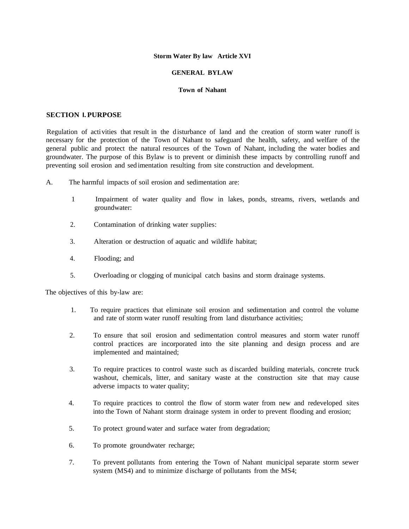#### **Storm Water By law Article XVI**

### **GENERAL BYLAW**

#### **Town of Nahant**

### **SECTION I.PURPOSE**

Regulation of activities that result in the d isturbance of land and the creation of storm water runoff is necessary for the protection of the Town of Nahant to safeguard the health, safety, and welfare of the general public and protect the natural resources of the Town of Nahant, including the water bodies and groundwater. The purpose of this Bylaw is to prevent or diminish these impacts by controlling runoff and preventing soil erosion and sed imentation resulting from site construction and development.

- A. The harmful impacts of soil erosion and sedimentation are:
	- 1 Impairment of water quality and flow in lakes, ponds, streams, rivers, wetlands and groundwater:
	- 2. Contamination of drinking water supplies:
	- 3. Alteration or destruction of aquatic and wildlife habitat;
	- 4. Flooding; and
	- 5. Overloading or clogging of municipal catch basins and storm drainage systems.

The objectives of this by-law are:

- 1. To require practices that eliminate soil erosion and sedimentation and control the volume and rate of storm water runoff resulting from land disturbance activities;
- 2. To ensure that soil erosion and sedimentation control measures and storm water runoff control practices are incorporated into the site planning and design process and are implemented and maintained;
- 3. To require practices to control waste such as d iscarded building materials, concrete truck washout, chemicals, litter, and sanitary waste at the construction site that may cause adverse impacts to water quality;
- 4. To require practices to control the flow of storm water from new and redeveloped sites into the Town of Nahant storm drainage system in order to prevent flooding and erosion;
- 5. To protect ground water and surface water from degradation;
- 6. To promote groundwater recharge;
- 7. To prevent pollutants from entering the Town of Nahant municipal separate storm sewer system (MS4) and to minimize discharge of pollutants from the MS4;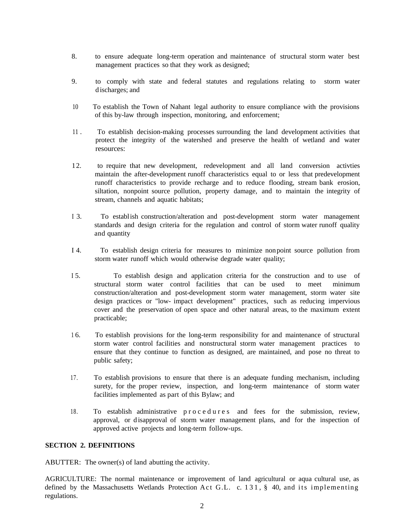- 8. to ensure adequate long-term operation and maintenance of structural storm water best management practices so that they work as designed;
- 9. to comply with state and federal statutes and regulations relating to storm water d ischarges; and
- 10 To establish the Town of Nahant legal authority to ensure compliance with the provisions of this by-law through inspection, monitoring, and enforcement;
- 11 . To establish decision-making processes surrounding the land development activities that protect the integrity of the watershed and preserve the health of wetland and water resources:
- 12. to require that new development, redevelopment and all land conversion activties maintain the after-development runoff characteristics equal to or less that predevelopment runoff characteristics to provide recharge and to reduce flooding, stream bank erosion, siltation, nonpoint source pollution, property damage, and to maintain the integrity of stream, channels and aquatic habitats;
- I 3. To establish construction/alteration and post-development storm water management standards and design criteria for the regulation and control of storm water runoff quality and quantity
- I 4. To establish design criteria for measures to minimize nonpoint source pollution from storm water runoff which would otherwise degrade water quality;
- I 5. To establish design and application criteria for the construction and to use of structural storm water control facilities that can be used to meet minimum construction/alteration and post-development storm water management, storm water site design practices or "low- impact development" practices, such as reducing impervious cover and the preservation of open space and other natural areas, to the maximum extent practicable;
- 1 6. To establish provisions for the long-term responsibility for and maintenance of structural storm water control facilities and nonstructural storm water management practices to ensure that they continue to function as designed, are maintained, and pose no threat to public safety;
- 17. To establish provisions to ensure that there is an adequate funding mechanism, including surety, for the proper review, inspection, and long-term maintenance of storm water facilities implemented as part of this Bylaw; and
- 18. To establish administrative procedures and fees for the submission, review, approval, or disapproval of storm water management plans, and for the inspection of approved active projects and long-term follow-ups.

# **SECTION 2. DEFINITIONS**

ABUTTER: The owner(s) of land abutting the activity.

AGRICULTURE: The normal maintenance or improvement of land agricultural or aqua cultural use, as defined by the Massachusetts Wetlands Protection Act G.L. c. 131, § 40, and its implementing regulations.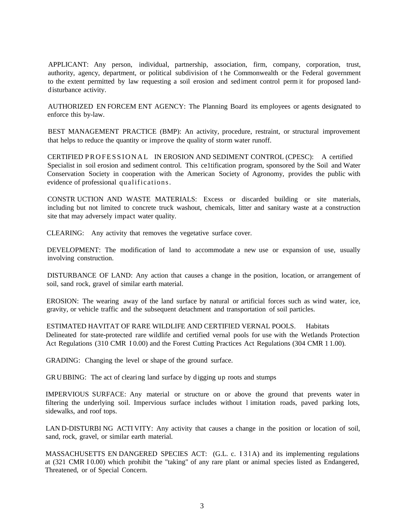APPLICANT: Any person, individual, partnership, association, firm, company, corporation, trust, authority, agency, department, or political subdivision of t he Commonwealth or the Federal government to the extent permitted by law requesting a soil erosion and sediment control perm it for proposed landdisturbance activity.

AUTHORIZED EN FORCEM ENT AGENCY: The Planning Board its employees or agents designated to enforce this by-law.

BEST MANAGEMENT PRACTICE (BMP): An activity, procedure, restraint, or structural improvement that helps to reduce the quantity or improve the quality of storm water runoff.

CERTIFIED PROFESSIONAL IN EROSION AND SEDIMENT CONTROL (CPESC): A certified Specialist in soil erosion and sediment control. This ce1tification program, sponsored by the Soil and Water Conservation Society in cooperation with the American Society of Agronomy, provides the public with evidence of professional qualifications.

CONSTR UCTION AND WASTE MATERIALS: Excess or discarded building or site materials, including but not limited to concrete truck washout, chemicals, litter and sanitary waste at a construction site that may adversely impact water quality.

CLEARING: Any activity that removes the vegetative surface cover.

DEVELOPMENT: The modification of land to accommodate a new use or expansion of use, usually involving construction.

DISTURBANCE OF LAND: Any action that causes a change in the position, location, or arrangement of soil, sand rock, gravel of similar earth material.

EROSION: The wearing away of the land surface by natural or artificial forces such as wind water, ice, gravity, or vehicle traffic and the subsequent detachment and transportation of soil particles.

ESTIMATED HAVITAT OF RARE WILDLIFE AND CERTIFIED VERNAL POOLS. Habitats Delineated for state-protected rare wildlife and certified vernal pools for use with the Wetlands Protection Act Regulations (310 CMR 10.00) and the Forest Cutting Practices Act Regulations (304 CMR 11.00).

GRADING: Changing the level or shape of the ground surface.

GRUBBING: The act of clearing land surface by d igging up roots and stumps

IMPERVIOUS SURFACE: Any material or structure on or above the ground that prevents water in filtering the underlying soil. Impervious surface includes without l imitation roads, paved parking lots, sidewalks, and roof tops.

LAN D-DISTURBI NG ACTI VITY: Any activity that causes a change in the position or location of soil, sand, rock, gravel, or similar earth material.

MASSACHUSETTS EN DANGERED SPECIES ACT: (G.L. c. 131A) and its implementing regulations at (321 CMR 10.00) which prohibit the "taking" of any rare plant or animal species listed as Endangered, Threatened, or of Special Concern.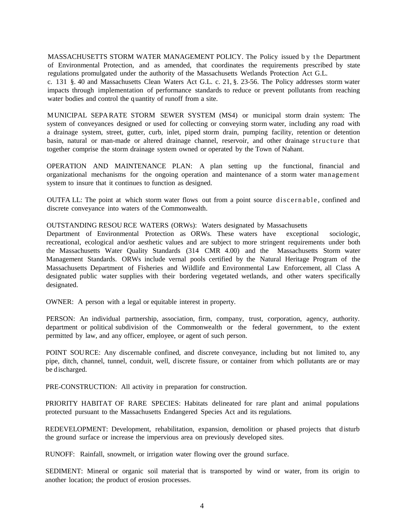MASSACHUSETTS STORM WATER MANAGEMENT POLICY. The Policy issued by the Department of Environmental Protection, and as amended, that coordinates the requirements prescribed by state regulations promulgated under the authority of the Massachusetts Wetlands Protection Act G.L.

c. 131 §. 40 and Massachusetts Clean Waters Act G.L. c. 21, §. 23-56. The Policy addresses storm water impacts through implementation of performance standards to reduce or prevent pollutants from reaching water bodies and control the quantity of runoff from a site.

MUNICIPAL SEPARATE STORM SEWER SYSTEM (MS4) or municipal storm drain system: The system of conveyances designed or used for collecting or conveying storm water, including any road with a drainage system, street, gutter, curb, inlet, piped storm drain, pumping facility, retention or detention basin, natural or man-made or altered drainage channel, reservoir, and other drainage structure that together comprise the storm drainage system owned or operated by the Town of Nahant.

OPERATION AND MAINTENANCE PLAN: A plan setting up the functional, financial and organizational mechanisms for the ongoing operation and maintenance of a storm water management system to insure that it continues to function as designed.

OUTFA LL: The point at which storm water flows out from a point source discernable , confined and discrete conveyance into waters of the Commonwealth.

OUTSTANDING RESOU RCE WATERS (ORWs): Waters designated by Massachusetts

Department of Environmental Protection as ORWs. These waters have exceptional sociologic, recreational, ecological and/or aesthetic values and are subject to more stringent requirements under both the Massachusetts Water Quality Standards (314 CMR 4.00) and the Massachusetts Storm water Management Standards. ORWs include vernal pools certified by the Natural Heritage Program of the Massachusetts Department of Fisheries and Wildlife and Environmental Law Enforcement, all Class A designated public water supplies with their bordering vegetated wetlands, and other waters specifically designated.

OWNER: A person with a legal or equitable interest in property.

PERSON: An individual partnership, association, firm, company, trust, corporation, agency, authority. department or political subdivision of the Commonwealth or the federal government, to the extent permitted by law, and any officer, employee, or agent of such person.

POINT SOURCE: Any discernable confined, and discrete conveyance, including but not limited to, any pipe, ditch, channel, tunnel, conduit, well, discrete fissure, or container from which pollutants are or may be discharged.

PRE-CONSTRUCTION: All activity in preparation for construction.

PRIORITY HABITAT OF RARE SPECIES: Habitats delineated for rare plant and animal populations protected pursuant to the Massachusetts Endangered Species Act and its regulations.

REDEVELOPMENT: Development, rehabilitation, expansion, demolition or phased projects that disturb the ground surface or increase the impervious area on previously developed sites.

RUNOFF: Rainfall, snowmelt, or irrigation water flowing over the ground surface.

SEDIMENT: Mineral or organic soil material that is transported by wind or water, from its origin to another location; the product of erosion processes.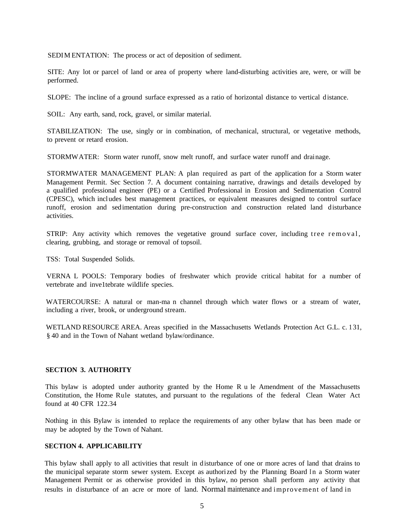SEDIM ENTATION: The process or act of deposition of sediment.

SITE: Any lot or parcel of land or area of property where land-disturbing activities are, were, or will be performed.

SLOPE: The incline of a ground surface expressed as a ratio of horizontal distance to vertical distance.

SOIL: Any earth, sand, rock, gravel, or similar material.

STABILIZATION: The use, singly or in combination, of mechanical, structural, or vegetative methods, to prevent or retard erosion.

STORMWATER: Storm water runoff, snow melt runoff, and surface water runoff and drainage.

STORMWATER MANAGEMENT PLAN: A plan required as part of the application for a Storm water Management Permit. Sec Section 7. A document containing narrative, drawings and details developed by a qualified professional engineer (PE) or a Certified Professional in Erosion and Sedimentation Control (CPESC), which includes best management practices, or equivalent measures designed to control surface runoff, erosion and sedimentation during pre-construction and construction related land disturbance activities.

STRIP: Any activity which removes the vegetative ground surface cover, including tree removal, clearing, grubbing, and storage or removal of topsoil.

TSS: Total Suspended Solids.

VERNA L POOLS: Temporary bodies of freshwater which provide critical habitat for a number of vertebrate and inve1tebrate wildlife species.

WATERCOURSE: A natural or man-ma n channel through which water flows or a stream of water, including a river, brook, or underground stream.

WETLAND RESOURCE AREA. Areas specified in the Massachusetts Wetlands Protection Act G.L. c. 1 31, § 40 and in the Town of Nahant wetland bylaw/ordinance.

# **SECTION 3. AUTHORITY**

This bylaw is adopted under authority granted by the Home R u le Amendment of the Massachusetts Constitution, the Home Rule statutes, and pursuant to the regulations of the federal Clean Water Act found at 40 CFR 122.34

Nothing in this Bylaw is intended to replace the requirements of any other bylaw that has been made or may be adopted by the Town of Nahant.

# **SECTION 4. APPLICABILITY**

This bylaw shall apply to all activities that result in disturbance of one or more acres of land that drains to the municipal separate storm sewer system. Except as authorized by the Planning Board In a Storm water Management Permit or as otherwise provided in this bylaw, no person shall perform any activity that results in disturbance of an acre or more of land. Normal maintenance and improvement of land in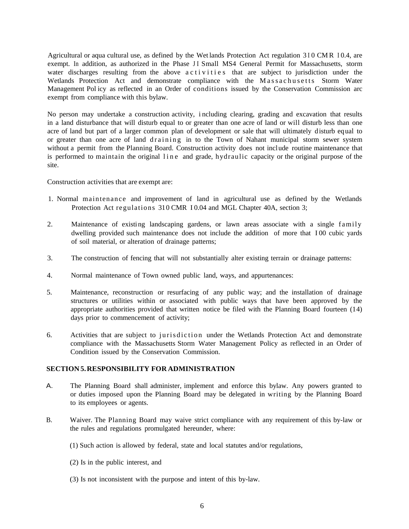Agricultural or aqua cultural use, as defined by the Wet lands Protection Act regulation 310 CMR 10.4, are exempt. In addition, as authorized in the Phase JI Small MS4 General Permit for Massachusetts, storm water discharges resulting from the above activities that are subject to jurisdiction under the Wetlands Protection Act and demonstrate compliance with the Massachusetts Storm Water Management Pol icy as reflected in an Order of conditions issued by the Conservation Commission arc exempt from compliance with this bylaw.

No person may undertake a construction activity, i ncluding clearing, grading and excavation that results in a land disturbance that will disturb equal to or greater than one acre of land or will disturb less than one acre of land but part of a larger common plan of development or sale that will ultimately disturb equal to or greater than one acre of land d raining in to the Town of Nahant municipal storm sewer system without a permit from the Planning Board. Construction activity does not include routine maintenance that is performed to maintain the original line and grade, hydraulic capacity or the original purpose of the site.

Construction activities that are exempt are:

- 1. Normal maintenance and improvement of land in agricultural use as defined by the Wetlands Protection Act regulations 310 CMR I 0.04 and MGL Chapter 40A, section 3;
- 2. Maintenance of existing landscaping gardens, or lawn areas associate with a single family dwelling provided such maintenance does not include the addition of more that I 00 cubic yards of soil material, or alteration of drainage patterns;
- 3. The construction of fencing that will not substantially alter existing terrain or drainage patterns:
- 4. Normal maintenance of Town owned public land, ways, and appurtenances:
- 5. Maintenance, reconstruction or resurfacing of any public way; and the installation of drainage structures or utilities within or associated with public ways that have been approved by the appropriate authorities provided that written notice be filed with the Planning Board fourteen (14) days prior to commencement of activity;
- 6. Activities that are subject to jurisdiction under the Wetlands Protection Act and demonstrate compliance with the Massachusetts Storm Water Management Policy as reflected in an Order of Condition issued by the Conservation Commission.

# **SECTION 5.RESPONSIBILITY FOR ADMINISTRATION**

- A. The Planning Board shall administer, implement and enforce this bylaw. Any powers granted to or duties imposed upon the Planning Board may be delegated in writing by the Planning Board to its employees or agents.
- B. Waiver. The Planning Board may waive strict compliance with any requirement of this by-law or the rules and regulations promulgated hereunder, where:
	- (1) Such action is allowed by federal, state and local statutes and/or regulations,
	- (2) Is in the public interest, and
	- (3) Is not inconsistent with the purpose and intent of this by-law.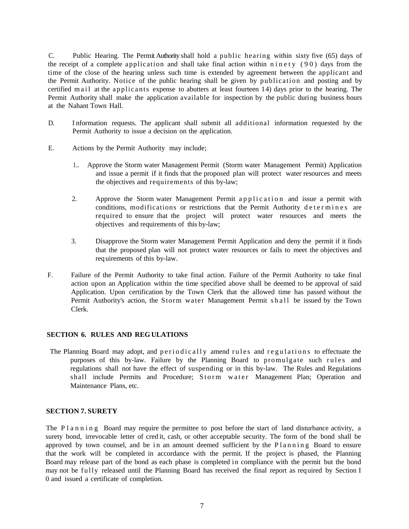C. Public Hearing. The Permit Authority shall hold a public hearing within sixty five (65) days of the receipt of a complete application and shall take final action within  $n$  in et y (90) days from the time of the close of the hearing unless such time is extended by agreement between the applicant and the Permit Authority. Notice of the public hearing shall be given by publication and posting and by certified mail at the applicants expense to abutters at least fourteen 14) days prior to the hearing. The Permit Authority shall make the application available for inspection by the public during business hours at the Nahant Town Hall.

- D. I nformation requests. The applicant shall submit all additional information requested by the Permit Authority to issue a decision on the application.
- E. Actions by the Permit Authority may include;
	- 1.. Approve the Storm water Management Permit (Storm water Management Permit) Application and issue a permit if it finds that the proposed plan will protect water resources and meets the objectives and requirements of this by-law;
	- 2. Approve the Storm water Management Permit application and issue a permit with conditions, modifications or restrictions that the Permit Authority determines are required to ensure that the project will protect water resources and meets the objectives and requirements of this by-law;
	- 3. Disapprove the Storm water Management Permit Application and deny the permit if it finds that the proposed plan will not protect water resources or fails to meet the objectives and requirements of this by-law.
- F. Failure of the Permit Authority to take final action. Failure of the Permit Authority to take final action upon an Application within the time specified above shall be deemed to be approval of said Application. Upon certification by the Town Clerk that the allowed time has passed without the Permit Authority's action, the Storm water Management Permit shall be issued by the Town Clerk.

# **SECTION 6. RULES AND REG ULATIONS**

The Planning Board may adopt, and periodically amend rules and regulations to effectuate the purposes of this by-law. Failure by the Planning Board to promulgate such rules and regulations shall not have the effect of suspending or in this by-law. The Rules and Regulations shall include Permits and Procedure; Storm water Management Plan; Operation and Maintenance Plans, etc.

# **SECTION 7. SURETY**

The P l a n n i n g Board may require the permittee to post before the start of land disturbance activity, a surety bond, irrevocable letter of cred it, cash, or other acceptable security. The form of the bond shall be approved by town counsel, and be in an amount deemed sufficient by the Planning Board to ensure that the work will be completed in accordance with the permit. If the project is phased, the Planning Board may release part of the bond as each phase is completed in compliance with the permit but the bond may not be fully released until the Planning Board has received the final report as required by Section I 0 and issued a certificate of completion.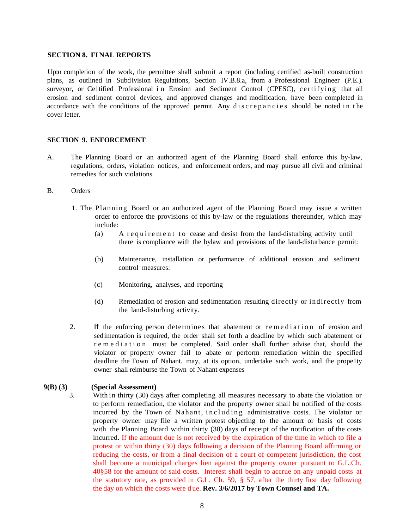### **SECTION 8. FINAL REPORTS**

Upon completion of the work, the permittee shall submit a report (including certified as-built construction plans, as outlined in Subdivision Regulations, Section IV.B.8.a, from a Professional Engineer (P.E.). surveyor, or Celtified Professional in Erosion and Sediment Control (CPESC), certifying that all erosion and sediment control devices, and approved changes and modification, have been completed in accordance with the conditions of the approved permit. Any discrepancies should be noted in the cover letter.

### **SECTION 9. ENFORCEMENT**

- A. The Planning Board or an authorized agent of the Planning Board shall enforce this by-law, regulations, orders, violation notices, and enforcement orders, and may pursue all civil and criminal remedies for such violations.
- B. Orders
	- 1. The Planning Board or an authorized agent of the Planning Board may issue a written order to enforce the provisions of this by-law or the regulations thereunder, which may include:
		- (a) A requirement to cease and desist from the land-disturbing activity until there is compliance with the bylaw and provisions of the land-disturbance permit:
		- (b) Maintenance, installation or performance of additional erosion and sediment control measures:
		- (c) Monitoring, analyses, and reporting
		- (d) Remediation of erosion and sedimentation resulting directly or indirectly from the land-disturbing activity.
	- 2. If the enforcing person determines that abatement or remediation of erosion and sedimentation is required, the order shall set forth a deadline by which such abatement or r e m e d i a t i o n must be completed. Said order shall further advise that, should the violator or property owner fail to abate or perform remediation within the specified deadline the Town of Nahant. may, at its option, undertake such work, and the prope1ty owner shall reimburse the Town of Nahant expenses

### **9(B) (3) (Special Assessment)**

3. With in thirty (30) days after completing all measures necessary to abate the violation or to perform remediation, the violator and the property owner shall be notified of the costs incurred by the Town of Nahant, including administrative costs. The violator or property owner may file a written protest objecting to the amount or basis of costs with the Planning Board within thirty (30) days of receipt of the notification of the costs incurred. If the amount due is not received by the expiration of the time in which to file a protest or within thirty (30) days following a decision of the Planning Board affirming or reducing the costs, or from a final decision of a court of competent jurisdiction, the cost shall become a municipal charges lien against the property owner pursuant to G.L.Ch. 40§58 for the amount of said costs. Interest shall begin to accrue on any unpaid costs at the statutory rate, as provided in G.L. Ch. 59, § 57, after the thirty first day following the day on which the costs were d ue. **Rev. 3/6/2017 by Town Counsel and TA.**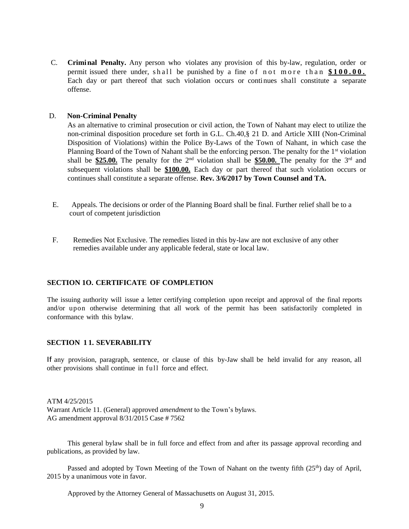C. **Criminal Penalty.** Any person who violates any provision of this by-law, regulation, order or permit issued there under, shall be punished by a fine of not more than \$100.00. Each day or part thereof that such violation occurs or continues shall constitute a separate offense.

# D. **Non-Criminal Penalty**

As an alternative to criminal prosecution or civil action, the Town of Nahant may elect to utilize the non-criminal disposition procedure set forth in G.L. Ch.40,§ 21 D. and Article XIII (Non-Criminal Disposition of Violations) within the Police By-Laws of the Town of Nahant, in which case the Planning Board of the Town of Nahant shall be the enforcing person. The penalty for the 1<sup>st</sup> violation shall be **\$25.00.** The penalty for the  $2<sup>nd</sup>$  violation shall be **\$50.00.** The penalty for the  $3<sup>rd</sup>$  and subsequent violations shall be **\$100.00.** Each day or part thereof that such violation occurs or continues shall constitute a separate offense. **Rev. 3/6/2017 by Town Counsel and TA.**

- E. Appeals. The decisions or order of the Planning Board shall be final. Further relief shall be to a court of competent jurisdiction
- F. Remedies Not Exclusive. The remedies listed in this by-law are not exclusive of any other remedies available under any applicable federal, state or local law.

# **SECTION 1O. CERTIFICATE OF COMPLETION**

The issuing authority will issue a letter certifying completion upon receipt and approval of the final reports and/or upon otherwise determining that all work of the permit has been satisfactorily completed in conformance with this bylaw.

# **SECTION 1 1. SEVERABILITY**

If any provision, paragraph, sentence, or clause of this by-Jaw shall be held invalid for any reason, all other provisions shall continue in full force and effect.

ATM 4/25/2015 Warrant Article 11. (General) approved *amendment* to the Town's bylaws. AG amendment approval 8/31/2015 Case # 7562

This general bylaw shall be in full force and effect from and after its passage approval recording and publications, as provided by law.

Passed and adopted by Town Meeting of the Town of Nahant on the twenty fifth (25<sup>th</sup>) day of April, 2015 by a unanimous vote in favor.

Approved by the Attorney General of Massachusetts on August 31, 2015.